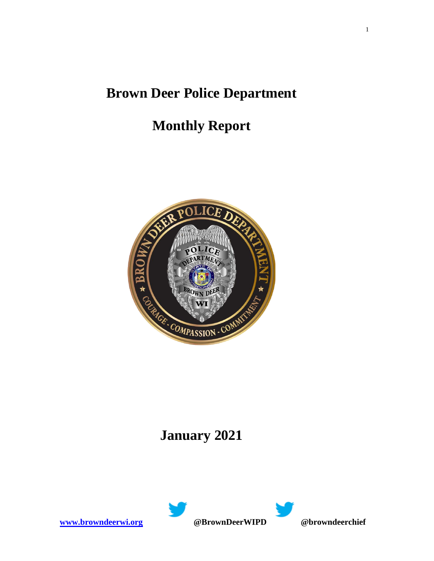## **Brown Deer Police Department**

# **Monthly Report**



## **January 2021**



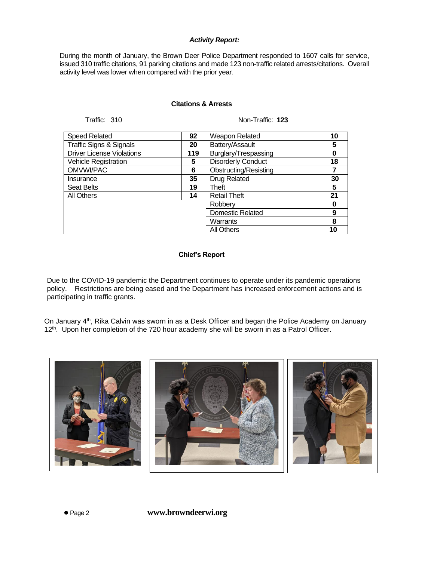### *Activity Report:*

During the month of January, the Brown Deer Police Department responded to 1607 calls for service, issued 310 traffic citations, 91 parking citations and made 123 non-traffic related arrests/citations. Overall activity level was lower when compared with the prior year.

### **Citations & Arrests**

Traffic: 310 Non-Traffic: **123**

| 92  | Weapon Related               | 10                                  |
|-----|------------------------------|-------------------------------------|
| 20  | Battery/Assault              | 5                                   |
| 119 | Burglary/Trespassing         | 0                                   |
| 5   | <b>Disorderly Conduct</b>    | 18                                  |
| 6   | <b>Obstructing/Resisting</b> |                                     |
| 35  | <b>Drug Related</b>          | 30                                  |
| 19  | Theft                        | 5                                   |
| 14  | <b>Retail Theft</b>          | 21                                  |
|     | Robberv                      | 0                                   |
|     |                              | 9                                   |
|     |                              | 8                                   |
|     | <b>All Others</b>            | 10                                  |
|     |                              | <b>Domestic Related</b><br>Warrants |

#### **Chief's Report**

Due to the COVID-19 pandemic the Department continues to operate under its pandemic operations policy. Restrictions are being eased and the Department has increased enforcement actions and is participating in traffic grants.

On January 4th, Rika Calvin was sworn in as a Desk Officer and began the Police Academy on January 12<sup>th</sup>. Upon her completion of the 720 hour academy she will be sworn in as a Patrol Officer.



⚫ Page 2 **www.browndeerwi.org**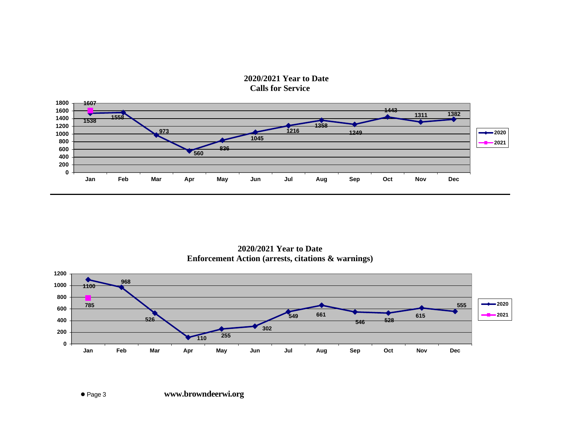**2020/2021 Year to Date Calls for Service**



**2020/2021 Year to Date Enforcement Action (arrests, citations & warnings)**

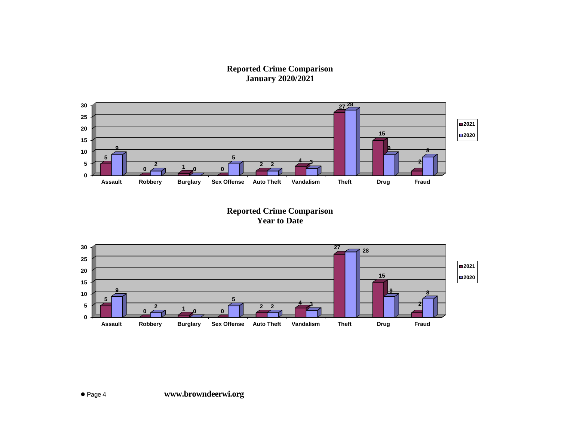**Reported Crime Comparison January 2020/2021**



**Reported Crime Comparison Year to Date**

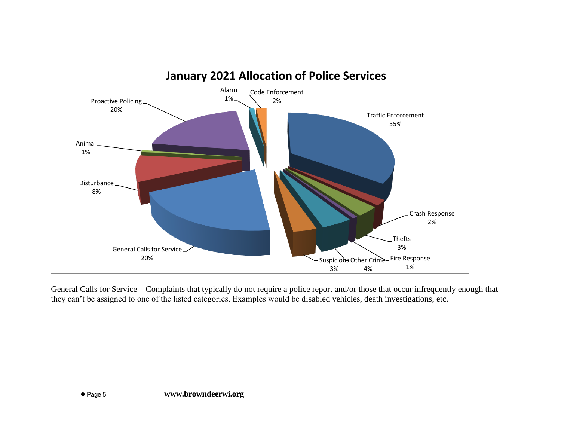

General Calls for Service – Complaints that typically do not require a police report and/or those that occur infrequently enough that they can't be assigned to one of the listed categories. Examples would be disabled vehicles, death investigations, etc.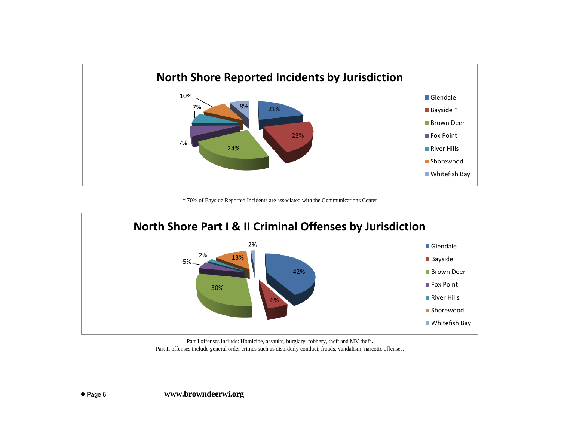

\* 70% of Bayside Reported Incidents are associated with the Communications Center



Part I offenses include: Homicide, assaults, burglary, robbery, theft and MV theft. Part II offenses include general order crimes such as disorderly conduct, frauds, vandalism, narcotic offenses.